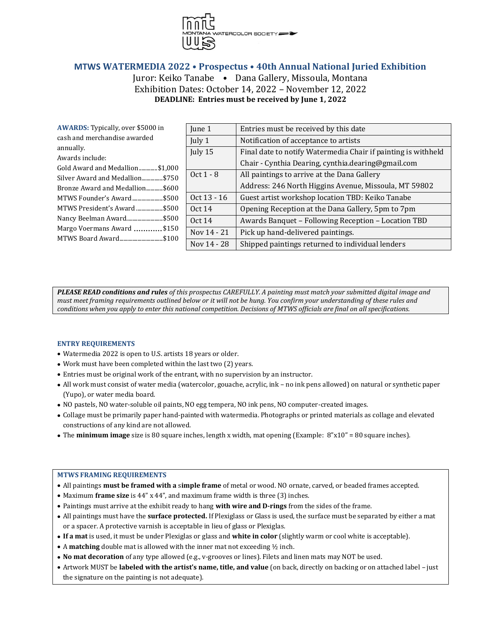

# **MTWS WATERMEDIA 2022 • Prospectus • 40th Annual National Juried Exhibition**

Juror: Keiko Tanabe • Dana Gallery, Missoula, Montana Exhibition Dates: October 14, 2022 – November 12, 2022 **DEADLINE: Entries must be received by June 1, 2022**

| <b>AWARDS:</b> Typically, over \$5000 in            | June 1        | Entries must be received by this date                         |
|-----------------------------------------------------|---------------|---------------------------------------------------------------|
| cash and merchandise awarded                        | July 1        | Notification of acceptance to artists                         |
| annually.                                           | July 15       | Final date to notify Watermedia Chair if painting is withheld |
| Awards include:                                     |               |                                                               |
| Gold Award and Medallion\$1,000                     |               | Chair - Cynthia Dearing, cynthia.dearing@gmail.com            |
| Silver Award and Medallion\$750                     | Oct $1 - 8$   | All paintings to arrive at the Dana Gallery                   |
| Bronze Award and Medallion\$600                     |               | Address: 246 North Higgins Avenue, Missoula, MT 59802         |
| MTWS Founder's Award\$500                           | Oct 13 - 16   | Guest artist workshop location TBD: Keiko Tanabe              |
| MTWS President's Award \$500                        | Oct 14        | Opening Reception at the Dana Gallery, 5pm to 7pm             |
| Nancy Beelman Award\$500                            | <b>Oct 14</b> | Awards Banquet - Following Reception - Location TBD           |
| Margo Voermans Award \$150<br>MTWS Board Award\$100 | Nov 14 - 21   | Pick up hand-delivered paintings.                             |
|                                                     | Nov 14 - 28   | Shipped paintings returned to individual lenders              |

*PLEASE READ conditions and rules of this prospectus CAREFULLY. A painting must match your submitted digital image and must meet framing requirements outlined below or it will not be hung. You confirm your understanding of these rules and conditions when you apply to enter this national competition. Decisions of MTWS officials are final on all specifications.*

## **ENTRY REQUIREMENTS**

- Watermedia 2022 is open to U.S. artists 18 years or older.
- Work must have been completed within the last two (2) years.
- Entries must be original work of the entrant, with no supervision by an instructor.
- All work must consist of water media (watercolor, gouache, acrylic, ink no ink pens allowed) on natural or synthetic paper (Yupo), or water media board.
- NO pastels, NO water-soluble oil paints, NO egg tempera, NO ink pens, NO computer-created images.
- Collage must be primarily paper hand-painted with watermedia. Photographs or printed materials as collage and elevated constructions of any kind are not allowed.
- The **minimum image** size is 80 square inches, length x width, mat opening (Example: 8"x10" = 80 square inches).

## **MTWS FRAMING REQUIREMENTS**

- All paintings **must be framed with a** s**imple frame** of metal or wood. NO ornate, carved, or beaded frames accepted.
- Maximum **frame size** is 44" x 44", and maximum frame width is three (3) inches.
- Paintings must arrive at the exhibit ready to hang **with wire and D-rings** from the sides of the frame.
- All paintings must have the **surface protected.** If Plexiglass or Glass is used, the surface must be separated by either a mat or a spacer. A protective varnish is acceptable in lieu of glass or Plexiglas.
- **If a mat** is used, it must be under Plexiglas or glass and **white in color** (slightly warm or cool white is acceptable).
- A **matching** double mat is allowed with the inner mat not exceeding ½ inch.
- **No mat decoration** of any type allowed (e.g., v-grooves or lines). Filets and linen mats may NOT be used.
- Artwork MUST be **labeled with the artist's name, title, and value** (on back, directly on backing or on attached label just the signature on the painting is not adequate).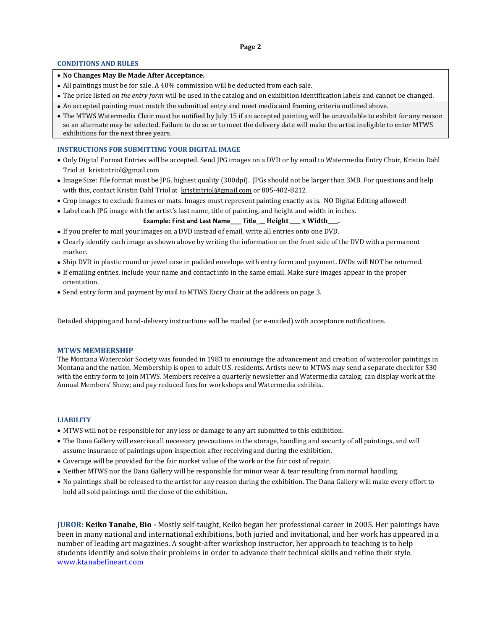### **Page 2**

## **CONDITIONS AND RULES**

## • **No Changes May Be Made After Acceptance.**

- All paintings must be for sale. A 40% commission will be deducted from each sale.
- The price listed *on the entry form* will be used in the catalog and on exhibition identification labels and cannot be changed.
- An accepted painting must match the submitted entry and meet media and framing criteria outlined above.
- The MTWS Watermedia Chair must be notified by July 15 if an accepted painting will be unavailable to exhibit for any reason so an alternate may be selected. Failure to do so or to meet the delivery date will make the artist ineligible to enter MTWS exhibitions for the next three years.

### **INSTRUCTIONS FOR SUBMITTING YOUR DIGITAL IMAGE**

- Only Digital Format Entries will be accepted. Send JPG images on a DVD or by email to Watermedia Entry Chair, Kristin Dahl Triol at [kristintriol@gmail.com](mailto:kristintriol@gmail.com)
- Image Size: File format must be JPG, highest quality (300dpi). JPGs should not be larger than 3MB. For questions and help with this, contact Kristin Dahl Triol at [kristintriol@gmail.com](mailto:kristintriol@gmail.com) or 805-402-8212.
- Crop images to exclude frames or mats. Images must represent painting exactly as is. NO Digital Editing allowed!
- Label each JPG image with the artist's last name, title of painting, and height and width in inches.

**Example: First and Last Name\_\_\_ Title\_\_\_ Height \_\_\_\_ x Width\_\_\_\_.**

- If you prefer to mail your images on a DVD instead of email, write all entries onto one DVD.
- Clearly identify each image as shown above by writing the information on the front side of the DVD with a permanent marker.
- Ship DVD in plastic round or jewel case in padded envelope with entry form and payment. DVDs will NOT be returned.
- If emailing entries, include your name and contact info in the same email. Make sure images appear in the proper orientation.
- Send entry form and payment by mail to MTWS Entry Chair at the address on page 3.

Detailed shipping and hand-delivery instructions will be mailed (or e-mailed) with acceptance notifications.

#### **MTWS MEMBERSHIP**

The Montana Watercolor Society was founded in 1983 to encourage the advancement and creation of watercolor paintings in Montana and the nation. Membership is open to adult U.S. residents. Artists new to MTWS may send a separate check for \$30 with the entry form to join MTWS. Members receive a quarterly newsletter and Watermedia catalog; can display work at the Annual Members' Show; and pay reduced fees for workshops and Watermedia exhibits.

#### **LIABILITY**

- MTWS will not be responsible for any loss or damage to any art submitted to this exhibition.
- The Dana Gallery will exercise all necessary precautions in the storage, handling and security of all paintings, and will assume insurance of paintings upon inspection after receiving and during the exhibition.
- Coverage will be provided for the fair market value of the work or the fair cost of repair.
- Neither MTWS nor the Dana Gallery will be responsible for minor wear & tear resulting from normal handling.
- No paintings shall be released to the artist for any reason during the exhibition. The Dana Gallery will make every effort to hold all sold paintings until the close of the exhibition.

**JUROR: Keiko Tanabe, Bio -** Mostly self-taught, Keiko began her professional career in 2005. Her paintings have been in many national and international exhibitions, both juried and invitational, and her work has appeared in a number of leading art magazines. A sought-after workshop instructor, her approach to teaching is to help students identify and solve their problems in order to advance their technical skills and refine their style. [www.ktanabefineart.com](http://www.ktanabefineart.com/)